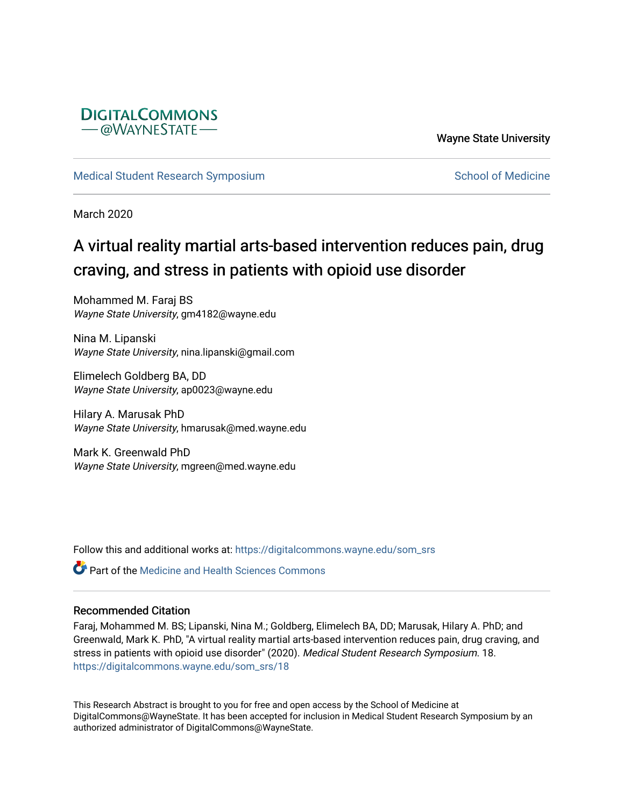

Wayne State University

[Medical Student Research Symposium](https://digitalcommons.wayne.edu/som_srs) [School of Medicine](https://digitalcommons.wayne.edu/med) School of Medicine

March 2020

## A virtual reality martial arts-based intervention reduces pain, drug craving, and stress in patients with opioid use disorder

Mohammed M. Faraj BS Wayne State University, gm4182@wayne.edu

Nina M. Lipanski Wayne State University, nina.lipanski@gmail.com

Elimelech Goldberg BA, DD Wayne State University, ap0023@wayne.edu

Hilary A. Marusak PhD Wayne State University, hmarusak@med.wayne.edu

Mark K. Greenwald PhD Wayne State University, mgreen@med.wayne.edu

Follow this and additional works at: [https://digitalcommons.wayne.edu/som\\_srs](https://digitalcommons.wayne.edu/som_srs?utm_source=digitalcommons.wayne.edu%2Fsom_srs%2F18&utm_medium=PDF&utm_campaign=PDFCoverPages)

**C** Part of the Medicine and Health Sciences Commons

## Recommended Citation

Faraj, Mohammed M. BS; Lipanski, Nina M.; Goldberg, Elimelech BA, DD; Marusak, Hilary A. PhD; and Greenwald, Mark K. PhD, "A virtual reality martial arts-based intervention reduces pain, drug craving, and stress in patients with opioid use disorder" (2020). Medical Student Research Symposium. 18. [https://digitalcommons.wayne.edu/som\\_srs/18](https://digitalcommons.wayne.edu/som_srs/18?utm_source=digitalcommons.wayne.edu%2Fsom_srs%2F18&utm_medium=PDF&utm_campaign=PDFCoverPages) 

This Research Abstract is brought to you for free and open access by the School of Medicine at DigitalCommons@WayneState. It has been accepted for inclusion in Medical Student Research Symposium by an authorized administrator of DigitalCommons@WayneState.